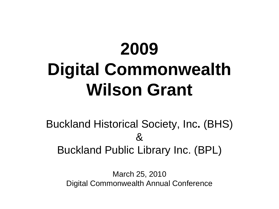# **2009 Digital Commonwealth Wilson Grant**

Buckland Historical Society, Inc**.** (BHS)  $\mathcal{S}_{\mathbf{z}}$ Buckland Public Library Inc. (BPL)

> March 25, 2010 Digital Commonwealth Annual Conference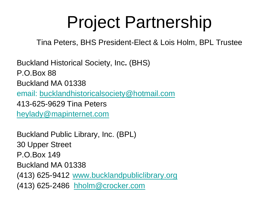#### Project Partnership

Tina Peters, BHS President-Elect & Lois Holm, BPL Trustee

Buckland Historical Society, Inc**.** (BHS) P.O.Box 88 Buckland MA 01338 email: bucklandhistoricalsociety@hotmail.com 413-625-9629 Tina Peters [heylady@mapinternet.com](mailto:heylady@mapinternet.com)

Buckland Public Library, Inc. (BPL) 30 Upper Street P.O.Box 149 Buckland MA 01338 (413) 625-9412 [www.bucklandpubliclibrary.org](http://www.bucklandpubliclibrary.org/) (413) 625-2486 hholm@crocker.com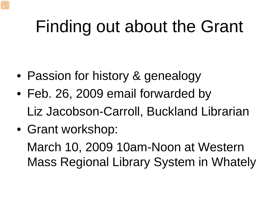# Finding out about the Grant

- Passion for history & genealogy
- Feb. 26, 2009 email forwarded by Liz Jacobson-Carroll, Buckland Librarian
- Grant workshop: March 10, 2009 10am-Noon at Western Mass Regional Library System in Whately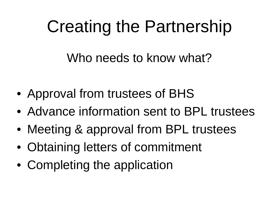# Creating the Partnership

Who needs to know what?

- Approval from trustees of BHS
- Advance information sent to BPL trustees
- Meeting & approval from BPL trustees
- Obtaining letters of commitment
- Completing the application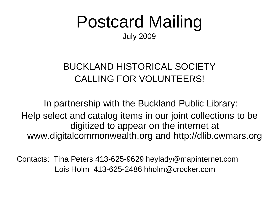# Postcard Mailing

July 2009

#### BUCKLAND HISTORICAL SOCIETY CALLING FOR VOLUNTEERS!

In partnership with the Buckland Public Library: Help select and catalog items in our joint collections to be digitized to appear on the internet at www.digitalcommonwealth.org and http://dlib.cwmars.org

Contacts: Tina Peters 413-625-9629 heylady@mapinternet.com Lois Holm 413-625-2486 hholm@crocker.com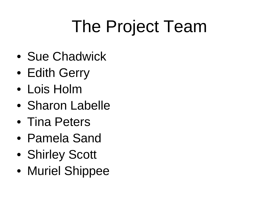# The Project Team

- Sue Chadwick
- Edith Gerry
- Lois Holm
- Sharon Labelle
- Tina Peters
- Pamela Sand
- Shirley Scott
- Muriel Shippee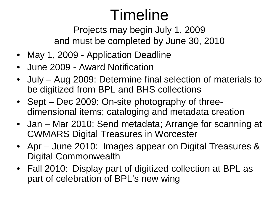#### Timeline

Projects may begin July 1, 2009 and must be completed by June 30, 2010

- May 1, 2009 **-** Application Deadline
- June 2009 Award Notification
- July Aug 2009: Determine final selection of materials to be digitized from BPL and BHS collections
- Sept Dec 2009: On-site photography of threedimensional items; cataloging and metadata creation
- Jan Mar 2010: Send metadata; Arrange for scanning at CWMARS Digital Treasures in Worcester
- Apr June 2010: Images appear on Digital Treasures & Digital Commonwealth
- Fall 2010: Display part of digitized collection at BPL as part of celebration of BPL's new wing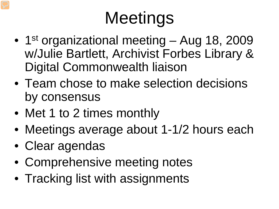# **Meetings**

- 1<sup>st</sup> organizational meeting Aug 18, 2009 w/Julie Bartlett, Archivist Forbes Library & Digital Commonwealth liaison
- Team chose to make selection decisions by consensus
- Met 1 to 2 times monthly
- Meetings average about 1-1/2 hours each
- Clear agendas
- Comprehensive meeting notes
- Tracking list with assignments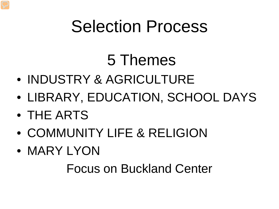#### Selection Process

#### 5 Themes

- INDUSTRY & AGRICULTURE
- LIBRARY, EDUCATION, SCHOOL DAYS
- THE ARTS
- COMMUNITY LIFE & RELIGION
- MARY LYON

Focus on Buckland Center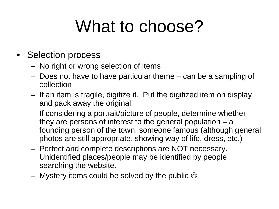## What to choose?

#### • Selection process

- No right or wrong selection of items
- Does not have to have particular theme can be a sampling of collection
- If an item is fragile, digitize it. Put the digitized item on display and pack away the original.
- If considering a portrait/picture of people, determine whether they are persons of interest to the general population – a founding person of the town, someone famous (although general photos are still appropriate, showing way of life, dress, etc.)
- Perfect and complete descriptions are NOT necessary. Unidentified places/people may be identified by people searching the website.
- $-$  Mystery items could be solved by the public  $\odot$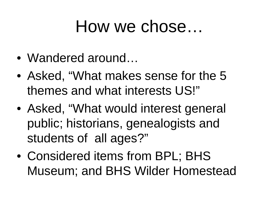#### How we chose…

- Wandered around...
- Asked, "What makes sense for the 5 themes and what interests US!"
- Asked, "What would interest general public; historians, genealogists and students of all ages?"
- Considered items from BPL; BHS Museum; and BHS Wilder Homestead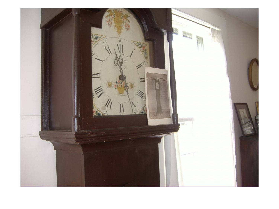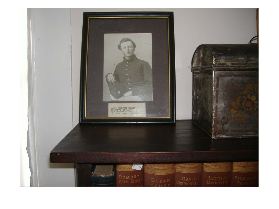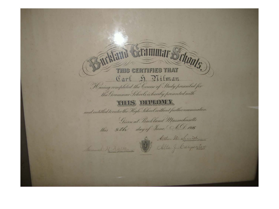dunls THIS CERTIFIES THAT Carl S. Milman Having completed the Course of Study prescribed for the Grammar Scheels is hereby presented with THUS DIPLOMA and entitled to enter the High School without further examination. Given at Buckland Massachusetts this 9th day of June A.D. 1916 Atthur It Symmetric sauce Samuel H Walley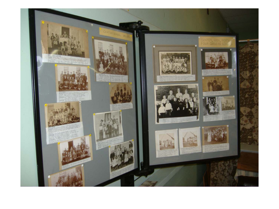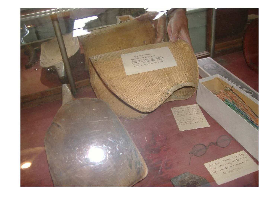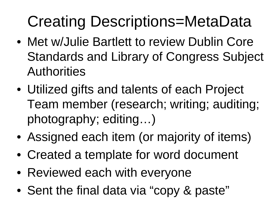#### Creating Descriptions=MetaData

- Met w/Julie Bartlett to review Dublin Core Standards and Library of Congress Subject **Authorities**
- Utilized gifts and talents of each Project Team member (research; writing; auditing; photography; editing…)
- Assigned each item (or majority of items)
- Created a template for word document
- Reviewed each with everyone
- Sent the final data via "copy & paste"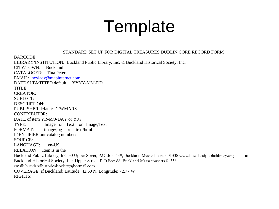#### **Template**

#### STANDARD SET UP FOR DIGITAL TREASURES DUBLIN CORE RECORD FORM

BARCODE: LIBRARY/INSTITUTION: Buckland Public Library, Inc. & Buckland Historical Society, Inc. CITY/TOWN: Buckland CATALOGER: Tina Peters EMAIL: heylady@mapinternet.com DATE SUBMITTED default: YYYY-MM-DD TITLE: CREATOR: SUBJECT: DESCRIPTION: PUBLISHER default: C/WMARS CONTRIBUTOR: DATE of item YR-MO-DAY or YR?: TYPE: Image or Text or Image;Text FORMAT: image/jpg or text/html IDENTIFIER our catalog number: SOURCE: LANGUAGE: en-US RELATION: Item is in the Buckland Public Library, Inc. 30 Upper Street, P.O.Box 149, Buckland Massachusetts 01338 www.bucklandpubliclibrary.org **or** Buckland Historical Society, Inc. Upper Street, P.O.Box 88, Buckland Massachusetts 01338 email: bucklandhistoricalsociety@hotmail.com COVERAGE (if Buckland: Latitude: 42.60 N, Longitude: 72.77 W): RIGHTS: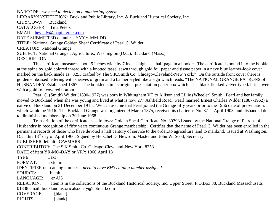BARCODE: *we need to decide on a numbering system* LIBRARY/INSTITUTION: Buckland Public Library, Inc. & Buckland Historical Society, Inc. CITY/TOWN: Buckland CATALOGER: Tina Peters EMAIL: heylady@mapinternet.com DATE SUBMITTED default: YYYY-MM-DD TITLE: National Grange Golden Sheaf Certificate of Pearl C. Wilder CREATOR: National Grange SUBJECT: National Grange.; Agriculture.; Washington (D.C.); Buckland (Mass.) DESCRIPTION:

This certificate measures about 5 inches wide by 7 inches high as a half page in a booklet. The certificate is bound into the booklet at the spine by gold colored thread with a knotted tassel sewn through gold foil paper and tissue paper in a navy blue leather-look cover marked on the back inside as "8253 crafted by The S.K.Smith Co. Chicago-Cleveland-New York." On the outside front cover there is golden embossed lettering with sheaves of grain and a banner styled like a sign which reads, "The NATIONAL GRANGE PATRONS of HUSBANDRY Established 1867." The booklet is in its original presentation paper box which has a black flocked velvet-type fabric cover with a gold foil covered bottom.

Pearl C. (Smith) Wilder (1890-1977) was born in Whitingham VT to Allison and Lillie (Wheeler) Smith. Pearl and her family moved to Buckland when she was young and lived at what is now 277 Ashfield Road. Pearl married Ernest Charles Wilder (1887-1962) a native of Buckland on 31 December 1915. We can assume that Pearl joined the Grange fifty years prior to the 1966 date of presentation, which would be 1916. The Buckland Grange was organized 9 March 1875, received its charter as No. 87 in April 1903, and disbanded due to diminished membership on 30 June 1968.

Transcription of the certificate is as follows: Golden Sheaf Certificate No. 30393 Issued by the National Grange of Patrons of Husbandry in recognition of fifty years continuous Grange membership. Certifies that the name of Pearl C. Wilder has been enrolled in the permanent records of those who have devoted a half century of service to the order..to agriculture..and to mankind. Issued at Washington, D.C. this 18<sup>th</sup> day of April 1966. Signed by Herschel D. Newsom, Master and John W. Scott, Secretary. PUBLISHER default: C/WMARS CONTRIBUTOR: The S.K.Smith Co. Chicago-Cleveland-New York 8253 DATE of item YR-MO-DAY or YR?: 1966 April 18 TYPE: Text FORMAT: text/html IDENTIFIER our catalog number: *need to have BHS catalog number assigned* SOURCE: [blank] LANGUAGE: en-US RELATION: Item is in the collections of the Buckland Historical Society, Inc. Upper Street, P.O.Box 88, Buckland Massachusetts 01338 email: bucklandhistoricalsociety@hotmail.com COVERAGE: [blank] RIGHTS: [blank]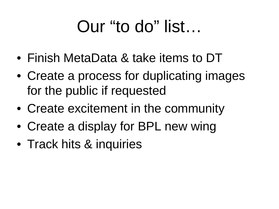### Our "to do" list…

- Finish MetaData & take items to DT
- Create a process for duplicating images for the public if requested
- Create excitement in the community
- Create a display for BPL new wing
- Track hits & inquiries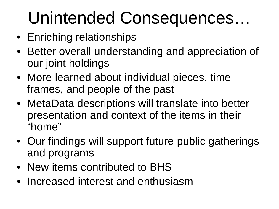# Unintended Consequences…

- Enriching relationships
- Better overall understanding and appreciation of our joint holdings
- More learned about individual pieces, time frames, and people of the past
- MetaData descriptions will translate into better presentation and context of the items in their "home"
- Our findings will support future public gatherings and programs
- New items contributed to BHS
- Increased interest and enthusiasm